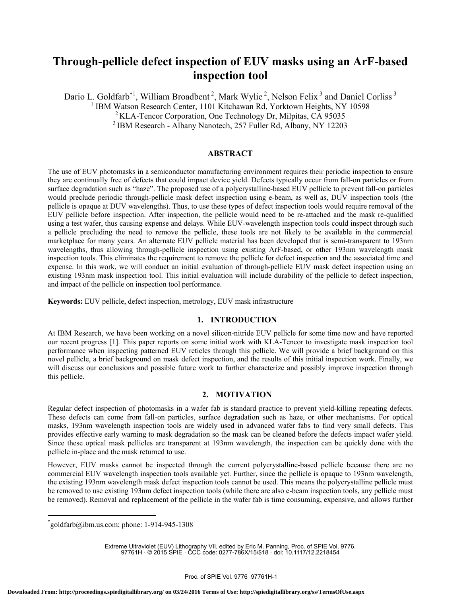# **Through-pellicle defect inspection of EUV masks using an ArF-based inspection tool**

Dario L. Goldfarb<sup>\*1</sup>, William Broadbent<sup>2</sup>, Mark Wylie<sup>2</sup>, Nelson Felix<sup>3</sup> and Daniel Corliss<sup>3</sup> <sup>1</sup> IBM Watson Research Center, 1101 Kitchawan Rd, Yorktown Heights, NY 10598 <sup>2</sup> KLA-Tencor Corporation, One Technology Dr, Milpitas, CA 95035 3 IBM Research - Albany Nanotech, 257 Fuller Rd, Albany, NY 12203

## **ABSTRACT**

The use of EUV photomasks in a semiconductor manufacturing environment requires their periodic inspection to ensure they are continually free of defects that could impact device yield. Defects typically occur from fall-on particles or from surface degradation such as "haze". The proposed use of a polycrystalline-based EUV pellicle to prevent fall-on particles would preclude periodic through-pellicle mask defect inspection using e-beam, as well as, DUV inspection tools (the pellicle is opaque at DUV wavelengths). Thus, to use these types of defect inspection tools would require removal of the EUV pellicle before inspection. After inspection, the pellicle would need to be re-attached and the mask re-qualified using a test wafer, thus causing expense and delays. While EUV-wavelength inspection tools could inspect through such a pellicle precluding the need to remove the pellicle, these tools are not likely to be available in the commercial marketplace for many years. An alternate EUV pellicle material has been developed that is semi-transparent to 193nm wavelengths, thus allowing through-pellicle inspection using existing ArF-based, or other 193nm wavelength mask inspection tools. This eliminates the requirement to remove the pellicle for defect inspection and the associated time and expense. In this work, we will conduct an initial evaluation of through-pellicle EUV mask defect inspection using an existing 193nm mask inspection tool. This initial evaluation will include durability of the pellicle to defect inspection, and impact of the pellicle on inspection tool performance.

**Keywords:** EUV pellicle, defect inspection, metrology, EUV mask infrastructure

# **1. INTRODUCTION**

At IBM Research, we have been working on a novel silicon-nitride EUV pellicle for some time now and have reported our recent progress [1]. This paper reports on some initial work with KLA-Tencor to investigate mask inspection tool performance when inspecting patterned EUV reticles through this pellicle. We will provide a brief background on this novel pellicle, a brief background on mask defect inspection, and the results of this initial inspection work. Finally, we will discuss our conclusions and possible future work to further characterize and possibly improve inspection through this pellicle.

# **2. MOTIVATION**

Regular defect inspection of photomasks in a wafer fab is standard practice to prevent yield-killing repeating defects. These defects can come from fall-on particles, surface degradation such as haze, or other mechanisms. For optical masks, 193nm wavelength inspection tools are widely used in advanced wafer fabs to find very small defects. This provides effective early warning to mask degradation so the mask can be cleaned before the defects impact wafer yield. Since these optical mask pellicles are transparent at 193nm wavelength, the inspection can be quickly done with the pellicle in-place and the mask returned to use.

However, EUV masks cannot be inspected through the current polycrystalline-based pellicle because there are no commercial EUV wavelength inspection tools available yet. Further, since the pellicle is opaque to 193nm wavelength, the existing 193nm wavelength mask defect inspection tools cannot be used. This means the polycrystalline pellicle must be removed to use existing 193nm defect inspection tools (while there are also e-beam inspection tools, any pellicle must be removed). Removal and replacement of the pellicle in the wafer fab is time consuming, expensive, and allows further

<u>.</u>

Extreme Ultraviolet (EUV) Lithography VII, edited by Eric M. Panning, Proc. of SPIE Vol. 9776, 97761H · © 2015 SPIE · CCC code: 0277-786X/15/\$18 · doi: 10.1117/12.2218454

<sup>\*</sup> goldfarb@ibm.us.com; phone: 1-914-945-1308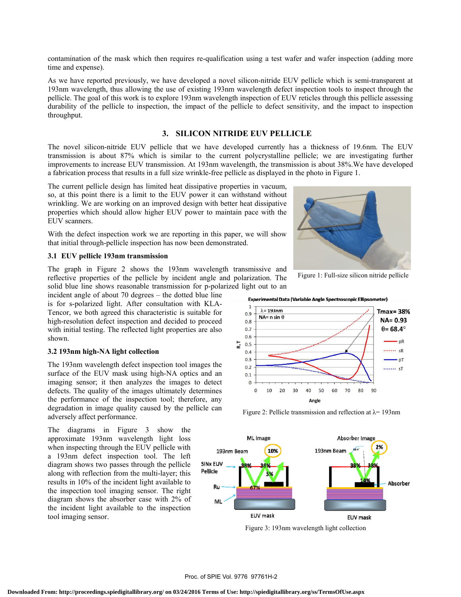contamination of the mask which then requires re-qualification using a test wafer and wafer inspection (adding more time and expense).

As we have reported previously, we have developed a novel silicon-nitride EUV pellicle which is semi-transparent at 193nm wavelength, thus allowing the use of existing 193nm wavelength defect inspection tools to inspect through the pellicle. The goal of this work is to explore 193nm wavelength inspection of EUV reticles through this pellicle assessing durability of the pellicle to inspection, the impact of the pellicle to defect sensitivity, and the impact to inspection throughput.

# **3. SILICON NITRIDE EUV PELLICLE**

The novel silicon-nitride EUV pellicle that we have developed currently has a thickness of 19.6nm. The EUV transmission is about 87% which is similar to the current polycrystalline pellicle; we are investigating further improvements to increase EUV transmission. At 193nm wavelength, the transmission is about 38%.We have developed a fabrication process that results in a full size wrinkle-free pellicle as displayed in the photo in Figure 1.

The current pellicle design has limited heat dissipative properties in vacuum, so, at this point there is a limit to the EUV power it can withstand without wrinkling. We are working on an improved design with better heat dissipative properties which should allow higher EUV power to maintain pace with the EUV scanners.

With the defect inspection work we are reporting in this paper, we will show that initial through-pellicle inspection has now been demonstrated.

#### **3.1 EUV pellicle 193nm transmission**

The graph in Figure 2 shows the 193nm wavelength transmissive and reflective properties of the pellicle by incident angle and polarization. The solid blue line shows reasonable transmission for p-polarized light out to an

incident angle of about 70 degrees – the dotted blue line is for s-polarized light. After consultation with KLA-Tencor, we both agreed this characteristic is suitable for high-resolution defect inspection and decided to proceed with initial testing. The reflected light properties are also shown.

## **3.2 193nm high-NA light collection**

The 193nm wavelength defect inspection tool images the surface of the EUV mask using high-NA optics and an imaging sensor; it then analyzes the images to detect defects. The quality of the images ultimately determines the performance of the inspection tool; therefore, any degradation in image quality caused by the pellicle can adversely affect performance.

The diagrams in Figure 3 show the approximate 193nm wavelength light loss when inspecting through the EUV pellicle with a 193nm defect inspection tool. The left diagram shows two passes through the pellicle along with reflection from the multi-layer; this results in 10% of the incident light available to the inspection tool imaging sensor. The right diagram shows the absorber case with 2% of the incident light available to the inspection tool imaging sensor.

Figure 1: Full-size silicon nitride pellicle



Figure 2: Pellicle transmission and reflection at  $\lambda$ = 193nm



Figure 3: 193nm wavelength light collection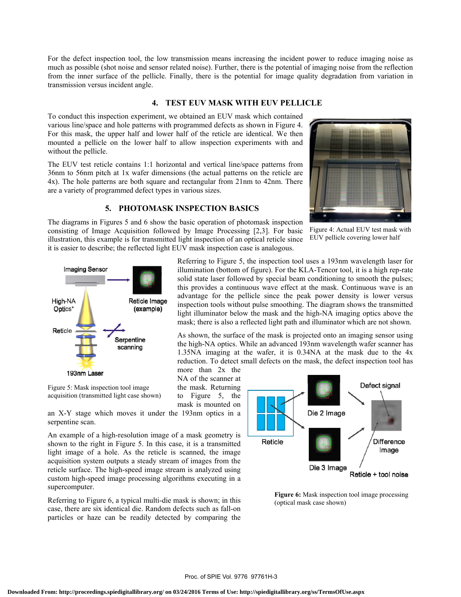For the defect inspection tool, the low transmission means increasing the incident power to reduce imaging noise as much as possible (shot noise and sensor related noise). Further, there is the potential of imaging noise from the reflection from the inner surface of the pellicle. Finally, there is the potential for image quality degradation from variation in transmission versus incident angle.

## **4. TEST EUV MASK WITH EUV PELLICLE**

To conduct this inspection experiment, we obtained an EUV mask which contained various line/space and hole patterns with programmed defects as shown in Figure 4. For this mask, the upper half and lower half of the reticle are identical. We then mounted a pellicle on the lower half to allow inspection experiments with and without the pellicle.

The EUV test reticle contains 1:1 horizontal and vertical line/space patterns from 36nm to 56nm pitch at 1x wafer dimensions (the actual patterns on the reticle are 4x). The hole patterns are both square and rectangular from 21nm to 42nm. There are a variety of programmed defect types in various sizes.



# **5. PHOTOMASK INSPECTION BASICS**

The diagrams in Figures 5 and 6 show the basic operation of photomask inspection consisting of Image Acquisition followed by Image Processing [2,3]. For basic illustration, this example is for transmitted light inspection of an optical reticle since it is easier to describe; the reflected light EUV mask inspection case is analogous.

Figure 4: Actual EUV test mask with EUV pellicle covering lower half



Referring to Figure 5, the inspection tool uses a 193nm wavelength laser for illumination (bottom of figure). For the KLA-Tencor tool, it is a high rep-rate solid state laser followed by special beam conditioning to smooth the pulses; this provides a continuous wave effect at the mask. Continuous wave is an advantage for the pellicle since the peak power density is lower versus inspection tools without pulse smoothing. The diagram shows the transmitted light illuminator below the mask and the high-NA imaging optics above the mask; there is also a reflected light path and illuminator which are not shown.

As shown, the surface of the mask is projected onto an imaging sensor using the high-NA optics. While an advanced 193nm wavelength wafer scanner has 1.35NA imaging at the wafer, it is 0.34NA at the mask due to the 4x reduction. To detect small defects on the mask, the defect inspection tool has

more than 2x the NA of the scanner at the mask. Returning to Figure 5, the mask is mounted on

Figure 5: Mask inspection tool image acquisition (transmitted light case shown)

an X-Y stage which moves it under the 193nm optics in a serpentine scan.

An example of a high-resolution image of a mask geometry is shown to the right in Figure 5. In this case, it is a transmitted light image of a hole. As the reticle is scanned, the image acquisition system outputs a steady stream of images from the reticle surface. The high-speed image stream is analyzed using custom high-speed image processing algorithms executing in a supercomputer.

Referring to Figure 6, a typical multi-die mask is shown; in this case, there are six identical die. Random defects such as fall-on particles or haze can be readily detected by comparing the



**Figure 6:** Mask inspection tool image processing (optical mask case shown)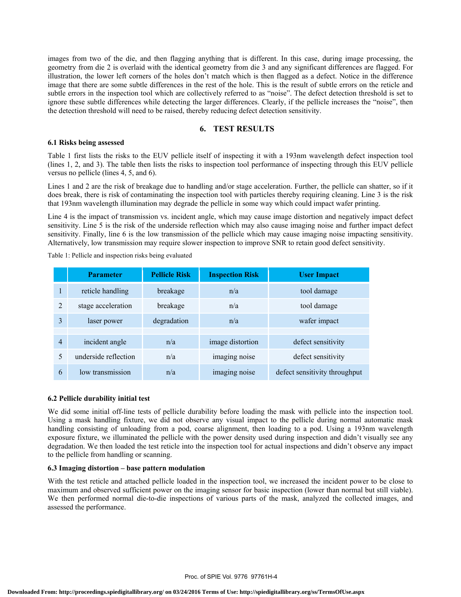images from two of the die, and then flagging anything that is different. In this case, during image processing, the geometry from die 2 is overlaid with the identical geometry from die 3 and any significant differences are flagged. For illustration, the lower left corners of the holes don't match which is then flagged as a defect. Notice in the difference image that there are some subtle differences in the rest of the hole. This is the result of subtle errors on the reticle and subtle errors in the inspection tool which are collectively referred to as "noise". The defect detection threshold is set to ignore these subtle differences while detecting the larger differences. Clearly, if the pellicle increases the "noise", then the detection threshold will need to be raised, thereby reducing defect detection sensitivity.

# **6. TEST RESULTS**

## **6.1 Risks being assessed**

Table 1 first lists the risks to the EUV pellicle itself of inspecting it with a 193nm wavelength defect inspection tool (lines 1, 2, and 3). The table then lists the risks to inspection tool performance of inspecting through this EUV pellicle versus no pellicle (lines 4, 5, and 6).

Lines 1 and 2 are the risk of breakage due to handling and/or stage acceleration. Further, the pellicle can shatter, so if it does break, there is risk of contaminating the inspection tool with particles thereby requiring cleaning. Line 3 is the risk that 193nm wavelength illumination may degrade the pellicle in some way which could impact wafer printing.

Line 4 is the impact of transmission vs. incident angle, which may cause image distortion and negatively impact defect sensitivity. Line 5 is the risk of the underside reflection which may also cause imaging noise and further impact defect sensitivity. Finally, line 6 is the low transmission of the pellicle which may cause imaging noise impacting sensitivity. Alternatively, low transmission may require slower inspection to improve SNR to retain good defect sensitivity.

|                | <b>Parameter</b>     | <b>Pellicle Risk</b> | <b>Inspection Risk</b> | <b>User Impact</b>            |
|----------------|----------------------|----------------------|------------------------|-------------------------------|
| $\mathbf{1}$   | reticle handling     | breakage             | n/a                    | tool damage                   |
| 2              | stage acceleration   | breakage             | n/a                    | tool damage                   |
| 3              | laser power          | degradation          | n/a                    | wafer impact                  |
|                |                      |                      |                        |                               |
| $\overline{4}$ | incident angle       | n/a                  | image distortion       | defect sensitivity            |
| 5              | underside reflection | n/a                  | imaging noise          | defect sensitivity            |
| 6              | low transmission     | n/a                  | imaging noise          | defect sensitivity throughput |

Table 1: Pellicle and inspection risks being evaluated

## **6.2 Pellicle durability initial test**

We did some initial off-line tests of pellicle durability before loading the mask with pellicle into the inspection tool. Using a mask handling fixture, we did not observe any visual impact to the pellicle during normal automatic mask handling consisting of unloading from a pod, coarse alignment, then loading to a pod. Using a 193nm wavelength exposure fixture, we illuminated the pellicle with the power density used during inspection and didn't visually see any degradation. We then loaded the test reticle into the inspection tool for actual inspections and didn't observe any impact to the pellicle from handling or scanning.

## **6.3 Imaging distortion – base pattern modulation**

With the test reticle and attached pellicle loaded in the inspection tool, we increased the incident power to be close to maximum and observed sufficient power on the imaging sensor for basic inspection (lower than normal but still viable). We then performed normal die-to-die inspections of various parts of the mask, analyzed the collected images, and assessed the performance.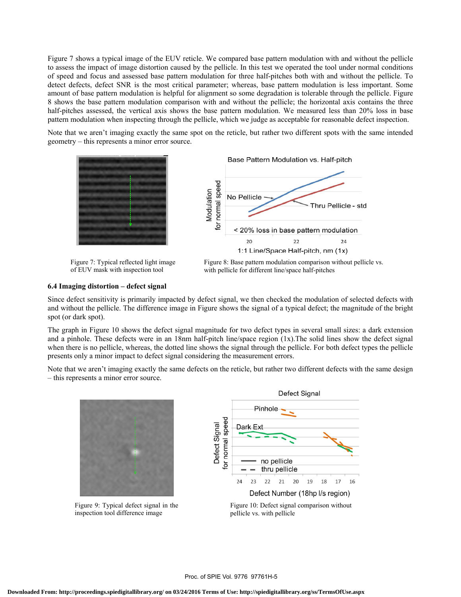Figure 7 shows a typical image of the EUV reticle. We compared base pattern modulation with and without the pellicle to assess the impact of image distortion caused by the pellicle. In this test we operated the tool under normal conditions of speed and focus and assessed base pattern modulation for three half-pitches both with and without the pellicle. To detect defects, defect SNR is the most critical parameter; whereas, base pattern modulation is less important. Some amount of base pattern modulation is helpful for alignment so some degradation is tolerable through the pellicle. Figure 8 shows the base pattern modulation comparison with and without the pellicle; the horizontal axis contains the three half-pitches assessed, the vertical axis shows the base pattern modulation. We measured less than 20% loss in base pattern modulation when inspecting through the pellicle, which we judge as acceptable for reasonable defect inspection.

Note that we aren't imaging exactly the same spot on the reticle, but rather two different spots with the same intended geometry – this represents a minor error source.



Figure 7: Typical reflected light image of EUV mask with inspection tool





## **6.4 Imaging distortion – defect signal**

Since defect sensitivity is primarily impacted by defect signal, we then checked the modulation of selected defects with and without the pellicle. The difference image in Figure shows the signal of a typical defect; the magnitude of the bright spot (or dark spot).

The graph in Figure 10 shows the defect signal magnitude for two defect types in several small sizes: a dark extension and a pinhole. These defects were in an 18nm half-pitch line/space region (1x).The solid lines show the defect signal when there is no pellicle, whereas, the dotted line shows the signal through the pellicle. For both defect types the pellicle presents only a minor impact to defect signal considering the measurement errors.

Note that we aren't imaging exactly the same defects on the reticle, but rather two different defects with the same design – this represents a minor error source.



Figure 9: Typical defect signal in the inspection tool difference image



Figure 10: Defect signal comparison without pellicle vs. with pellicle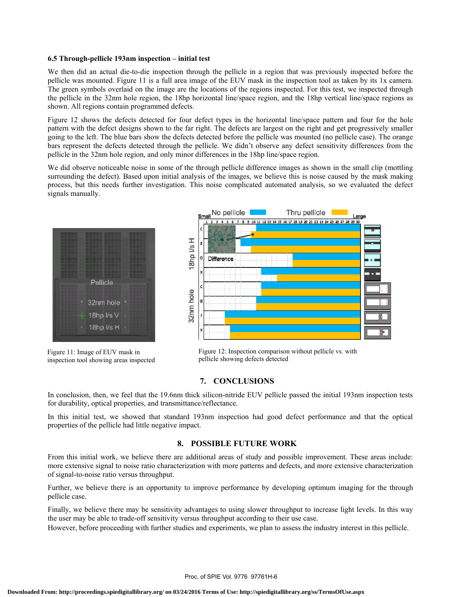#### **6.5 Through-pellicle 193nm inspection – initial test**

We then did an actual die-to-die inspection through the pellicle in a region that was previously inspected before the pellicle was mounted. Figure 11 is a full area image of the EUV mask in the inspection tool as taken by its 1x camera. The green symbols overlaid on the image are the locations of the regions inspected. For this test, we inspected through the pellicle in the 32nm hole region, the 18hp horizontal line/space region, and the 18hp vertical line/space regions as shown. All regions contain programmed defects.

Figure 12 shows the defects detected for four defect types in the horizontal line/space pattern and four for the hole pattern with the defect designs shown to the far right. The defects are largest on the right and get progressively smaller going to the left. The blue bars show the defects detected before the pellicle was mounted (no pellicle case). The orange bars represent the defects detected through the pellicle. We didn't observe any defect sensitivity differences from the pellicle in the 32nm hole region, and only minor differences in the 18hp line/space region.

We did observe noticeable noise in some of the through pellicle difference images as shown in the small clip (mottling surrounding the defect). Based upon initial analysis of the images, we believe this is noise caused by the mask making process, but this needs further investigation. This noise complicated automated analysis, so we evaluated the defect signals manually.





Figure 11: Image of EUV mask in inspection tool showing areas inspected

Figure 12: Inspection comparison without pellicle vs. with pellicle showing defects detected

# **7. CONCLUSIONS**

In conclusion, then, we feel that the 19.6nm thick silicon-nitride EUV pellicle passed the initial 193nm inspection tests for durability, optical properties, and transmittance/reflectance.

In this initial test, we showed that standard 193nm inspection had good defect performance and that the optical properties of the pellicle had little negative impact.

# **8. POSSIBLE FUTURE WORK**

From this initial work, we believe there are additional areas of study and possible improvement. These areas include: more extensive signal to noise ratio characterization with more patterns and defects, and more extensive characterization of signal-to-noise ratio versus throughput.

Further, we believe there is an opportunity to improve performance by developing optimum imaging for the through pellicle case.

Finally, we believe there may be sensitivity advantages to using slower throughput to increase light levels. In this way the user may be able to trade-off sensitivity versus throughput according to their use case.

However, before proceeding with further studies and experiments, we plan to assess the industry interest in this pellicle.